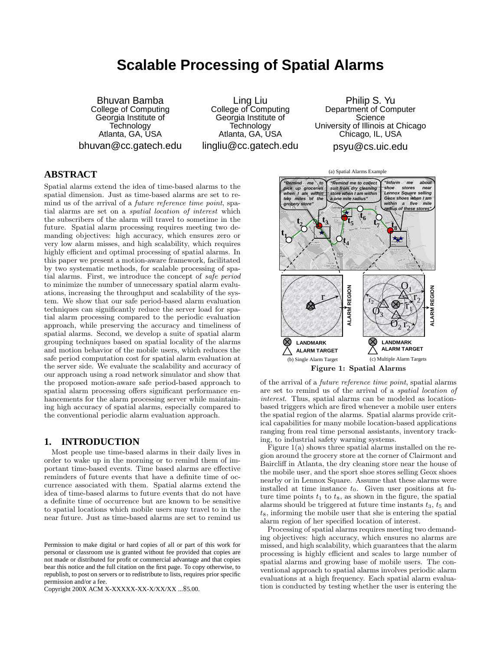# **Scalable Processing of Spatial Alarms**

Bhuvan Bamba College of Computing Georgia Institute of Technology Atlanta, GA, USA bhuvan@cc.gatech.edu

Ling Liu College of Computing Georgia Institute of **Technology** Atlanta, GA, USA lingliu@cc.gatech.edu

Philip S. Yu Department of Computer **Science** University of Illinois at Chicago Chicago, IL, USA psyu@cs.uic.edu

# **ABSTRACT**

Spatial alarms extend the idea of time-based alarms to the spatial dimension. Just as time-based alarms are set to remind us of the arrival of a future reference time point, spatial alarms are set on a spatial location of interest which the subscribers of the alarm will travel to sometime in the future. Spatial alarm processing requires meeting two demanding objectives: high accuracy, which ensures zero or very low alarm misses, and high scalability, which requires highly efficient and optimal processing of spatial alarms. In this paper we present a motion-aware framework, facilitated by two systematic methods, for scalable processing of spatial alarms. First, we introduce the concept of safe period to minimize the number of unnecessary spatial alarm evaluations, increasing the throughput and scalability of the system. We show that our safe period-based alarm evaluation techniques can significantly reduce the server load for spatial alarm processing compared to the periodic evaluation approach, while preserving the accuracy and timeliness of spatial alarms. Second, we develop a suite of spatial alarm grouping techniques based on spatial locality of the alarms and motion behavior of the mobile users, which reduces the safe period computation cost for spatial alarm evaluation at the server side. We evaluate the scalability and accuracy of our approach using a road network simulator and show that the proposed motion-aware safe period-based approach to spatial alarm processing offers significant performance enhancements for the alarm processing server while maintaining high accuracy of spatial alarms, especially compared to the conventional periodic alarm evaluation approach.

# **1. INTRODUCTION**

Most people use time-based alarms in their daily lives in order to wake up in the morning or to remind them of important time-based events. Time based alarms are effective reminders of future events that have a definite time of occurrence associated with them. Spatial alarms extend the idea of time-based alarms to future events that do not have a definite time of occurrence but are known to be sensitive to spatial locations which mobile users may travel to in the near future. Just as time-based alarms are set to remind us

Copyright 200X ACM X-XXXXX-XX-X/XX/XX ...\$5.00.



of the arrival of a future reference time point, spatial alarms are set to remind us of the arrival of a spatial location of interest. Thus, spatial alarms can be modeled as locationbased triggers which are fired whenever a mobile user enters the spatial region of the alarms. Spatial alarms provide critical capabilities for many mobile location-based applications ranging from real time personal assistants, inventory tracking, to industrial safety warning systems.

Figure 1: Spatial Alarms

Figure 1(a) shows three spatial alarms installed on the region around the grocery store at the corner of Clairmont and Baircliff in Atlanta, the dry cleaning store near the house of the mobile user, and the sport shoe stores selling Geox shoes nearby or in Lennox Square. Assume that these alarms were installed at time instance  $t_0$ . Given user positions at future time points  $t_1$  to  $t_8$ , as shown in the figure, the spatial alarms should be triggered at future time instants  $t_3$ ,  $t_5$  and  $t_8$ , informing the mobile user that she is entering the spatial alarm region of her specified location of interest.

Processing of spatial alarms requires meeting two demanding objectives: high accuracy, which ensures no alarms are missed, and high scalability, which guarantees that the alarm processing is highly efficient and scales to large number of spatial alarms and growing base of mobile users. The conventional approach to spatial alarms involves periodic alarm evaluations at a high frequency. Each spatial alarm evaluation is conducted by testing whether the user is entering the

Permission to make digital or hard copies of all or part of this work for personal or classroom use is granted without fee provided that copies are not made or distributed for profit or commercial advantage and that copies bear this notice and the full citation on the first page. To copy otherwise, to republish, to post on servers or to redistribute to lists, requires prior specific permission and/or a fee.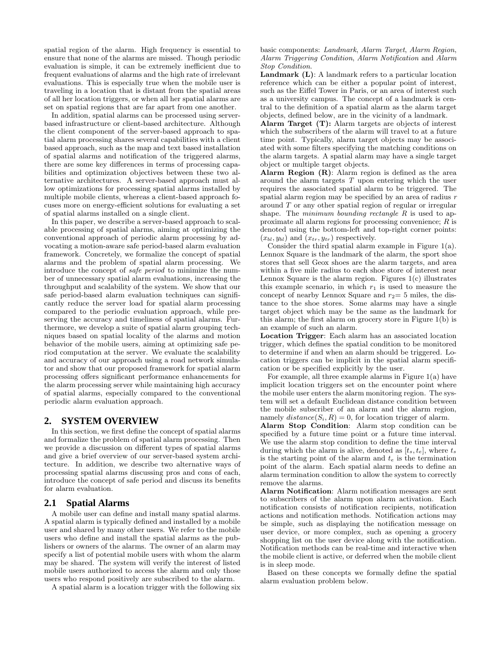spatial region of the alarm. High frequency is essential to ensure that none of the alarms are missed. Though periodic evaluation is simple, it can be extremely inefficient due to frequent evaluations of alarms and the high rate of irrelevant evaluations. This is especially true when the mobile user is traveling in a location that is distant from the spatial areas of all her location triggers, or when all her spatial alarms are set on spatial regions that are far apart from one another.

In addition, spatial alarms can be processed using serverbased infrastructure or client-based architecture. Although the client component of the server-based approach to spatial alarm processing shares several capabilities with a client based approach, such as the map and text based installation of spatial alarms and notification of the triggered alarms, there are some key differences in terms of processing capabilities and optimization objectives between these two alternative architectures. A server-based approach must allow optimizations for processing spatial alarms installed by multiple mobile clients, whereas a client-based approach focuses more on energy-efficient solutions for evaluating a set of spatial alarms installed on a single client.

In this paper, we describe a server-based approach to scalable processing of spatial alarms, aiming at optimizing the conventional approach of periodic alarm processing by advocating a motion-aware safe period-based alarm evaluation framework. Concretely, we formalize the concept of spatial alarms and the problem of spatial alarm processing. We introduce the concept of safe period to minimize the number of unnecessary spatial alarm evaluations, increasing the throughput and scalability of the system. We show that our safe period-based alarm evaluation techniques can significantly reduce the server load for spatial alarm processing compared to the periodic evaluation approach, while preserving the accuracy and timeliness of spatial alarms. Furthermore, we develop a suite of spatial alarm grouping techniques based on spatial locality of the alarms and motion behavior of the mobile users, aiming at optimizing safe period computation at the server. We evaluate the scalability and accuracy of our approach using a road network simulator and show that our proposed framework for spatial alarm processing offers significant performance enhancements for the alarm processing server while maintaining high accuracy of spatial alarms, especially compared to the conventional periodic alarm evaluation approach.

# **2. SYSTEM OVERVIEW**

In this section, we first define the concept of spatial alarms and formalize the problem of spatial alarm processing. Then we provide a discussion on different types of spatial alarms and give a brief overview of our server-based system architecture. In addition, we describe two alternative ways of processing spatial alarms discussing pros and cons of each, introduce the concept of safe period and discuss its benefits for alarm evaluation.

# **2.1 Spatial Alarms**

A mobile user can define and install many spatial alarms. A spatial alarm is typically defined and installed by a mobile user and shared by many other users. We refer to the mobile users who define and install the spatial alarms as the publishers or owners of the alarms. The owner of an alarm may specify a list of potential mobile users with whom the alarm may be shared. The system will verify the interest of listed mobile users authorized to access the alarm and only those users who respond positively are subscribed to the alarm.

A spatial alarm is a location trigger with the following six

basic components: Landmark, Alarm Target, Alarm Region, Alarm Triggering Condition, Alarm Notification and Alarm Stop Condition.

Landmark (L): A landmark refers to a particular location reference which can be either a popular point of interest, such as the Eiffel Tower in Paris, or an area of interest such as a university campus. The concept of a landmark is central to the definition of a spatial alarm as the alarm target objects, defined below, are in the vicinity of a landmark.

Alarm Target (T): Alarm targets are objects of interest which the subscribers of the alarm will travel to at a future time point. Typically, alarm target objects may be associated with some filters specifying the matching conditions on the alarm targets. A spatial alarm may have a single target object or multiple target objects.

Alarm Region (R): Alarm region is defined as the area around the alarm targets  $T$  upon entering which the user requires the associated spatial alarm to be triggered. The spatial alarm region may be specified by an area of radius r around T or any other spatial region of regular or irregular shape. The minimum bounding rectangle  $R$  is used to approximate all alarm regions for processing convenience; R is denoted using the bottom-left and top-right corner points:  $(x_{bl}, y_{bl})$  and  $(x_{tr}, y_{tr})$  respectively.

Consider the third spatial alarm example in Figure 1(a). Lennox Square is the landmark of the alarm, the sport shoe stores that sell Geox shoes are the alarm targets, and area within a five mile radius to each shoe store of interest near Lennox Square is the alarm region. Figures  $1(c)$  illustrates this example scenario, in which  $r_1$  is used to measure the concept of nearby Lennox Square and  $r_2=5$  miles, the distance to the shoe stores. Some alarms may have a single target object which may be the same as the landmark for this alarm; the first alarm on grocery store in Figure 1(b) is an example of such an alarm.

Location Trigger: Each alarm has an associated location trigger, which defines the spatial condition to be monitored to determine if and when an alarm should be triggered. Location triggers can be implicit in the spatial alarm specification or be specified explicitly by the user.

For example, all three example alarms in Figure 1(a) have implicit location triggers set on the encounter point where the mobile user enters the alarm monitoring region. The system will set a default Euclidean distance condition between the mobile subscriber of an alarm and the alarm region, namely  $distance(S_i, R) = 0$ , for location trigger of alarm.

Alarm Stop Condition: Alarm stop condition can be specified by a future time point or a future time interval. We use the alarm stop condition to define the time interval during which the alarm is alive, denoted as  $[t_s, t_e]$ , where  $t_s$ is the starting point of the alarm and  $t_e$  is the termination point of the alarm. Each spatial alarm needs to define an alarm termination condition to allow the system to correctly remove the alarms.

Alarm Notification: Alarm notification messages are sent to subscribers of the alarm upon alarm activation. Each notification consists of notification recipients, notification actions and notification methods. Notification actions may be simple, such as displaying the notification message on user device, or more complex, such as opening a grocery shopping list on the user device along with the notification. Notification methods can be real-time and interactive when the mobile client is active, or deferred when the mobile client is in sleep mode.

Based on these concepts we formally define the spatial alarm evaluation problem below.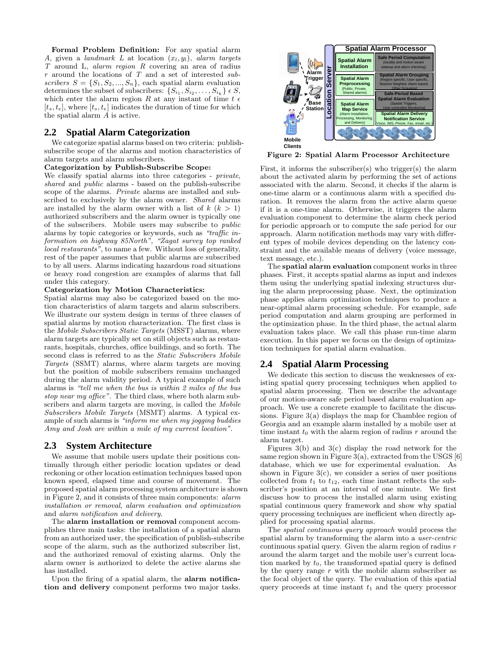Formal Problem Definition: For any spatial alarm A, given a landmark L at location  $(x_l, y_l)$ , alarm targets T around L, alarm region R covering an area of radius  $r$  around the locations of  $T$  and a set of interested subscribers  $S = \{S_1, S_2, ..., S_n\}$ , each spatial alarm evaluation determines the subset of subscribers:  $\{S_{i_1}, S_{i_2}, \ldots, S_{i_k}\} \in S$ , which enter the alarm region R at any instant of time  $t \epsilon$  $[t_s, t_e]$ , where  $[t_s, t_e]$  indicates the duration of time for which the spatial alarm A is active.

## **2.2 Spatial Alarm Categorization**

We categorize spatial alarms based on two criteria: publishsubscribe scope of the alarms and motion characteristics of alarm targets and alarm subscribers.

#### Categorization by Publish-Subscribe Scope:

We classify spatial alarms into three categories - *private*, shared and public alarms - based on the publish-subscribe scope of the alarms. Private alarms are installed and subscribed to exclusively by the alarm owner. Shared alarms are installed by the alarm owner with a list of  $k (k > 1)$ authorized subscribers and the alarm owner is typically one of the subscribers. Mobile users may subscribe to public alarms by topic categories or keywords, such as "traffic information on highway 85North", "Zagat survey top ranked local restaurants", to name a few. Without loss of generality, rest of the paper assumes that public alarms are subscribed to by all users. Alarms indicating hazardous road situations or heavy road congestion are examples of alarms that fall under this category.

#### Categorization by Motion Characteristics:

Spatial alarms may also be categorized based on the motion characteristics of alarm targets and alarm subscribers. We illustrate our system design in terms of three classes of spatial alarms by motion characterization. The first class is the Mobile Subscribers Static Targets (MSST) alarms, where alarm targets are typically set on still objects such as restaurants, hospitals, churches, office buildings, and so forth. The second class is referred to as the Static Subscribers Mobile Targets (SSMT) alarms, where alarm targets are moving but the position of mobile subscribers remains unchanged during the alarm validity period. A typical example of such alarms is "tell me when the bus is within 2 miles of the bus stop near my office". The third class, where both alarm subscribers and alarm targets are moving, is called the Mobile Subscribers Mobile Targets (MSMT) alarms. A typical example of such alarms is "inform me when my jogging buddies Amy and Josh are within a mile of my current location".

#### **2.3 System Architecture**

We assume that mobile users update their positions continually through either periodic location updates or dead reckoning or other location estimation techniques based upon known speed, elapsed time and course of movement. The proposed spatial alarm processing system architecture is shown in Figure 2, and it consists of three main components: alarm installation or removal, alarm evaluation and optimization and alarm notification and delivery.

The alarm installation or removal component accomplishes three main tasks: the installation of a spatial alarm from an authorized user, the specification of publish-subscribe scope of the alarm, such as the authorized subscriber list, and the authorized removal of existing alarms. Only the alarm owner is authorized to delete the active alarms she has installed.

Upon the firing of a spatial alarm, the alarm notification and delivery component performs two major tasks.



Figure 2: Spatial Alarm Processor Architecture

First, it informs the subscriber(s) who trigger(s) the alarm about the activated alarm by performing the set of actions associated with the alarm. Second, it checks if the alarm is one-time alarm or a continuous alarm with a specified duration. It removes the alarm from the active alarm queue if it is a one-time alarm. Otherwise, it triggers the alarm evaluation component to determine the alarm check period for periodic approach or to compute the safe period for our approach. Alarm notification methods may vary with different types of mobile devices depending on the latency constraint and the available means of delivery (voice message, text message, etc.).

The spatial alarm evaluation component works in three phases. First, it accepts spatial alarms as input and indexes them using the underlying spatial indexing structures during the alarm preprocessing phase. Next, the optimization phase applies alarm optimization techniques to produce a near-optimal alarm processing schedule. For example, safe period computation and alarm grouping are performed in the optimization phase. In the third phase, the actual alarm evaluation takes place. We call this phase run-time alarm execution. In this paper we focus on the design of optimization techniques for spatial alarm evaluation.

#### **2.4 Spatial Alarm Processing**

We dedicate this section to discuss the weaknesses of existing spatial query processing techniques when applied to spatial alarm processing. Then we describe the advantage of our motion-aware safe period based alarm evaluation approach. We use a concrete example to facilitate the discussions. Figure 3(a) displays the map for Chamblee region of Georgia and an example alarm installed by a mobile user at time instant  $t_0$  with the alarm region of radius r around the alarm target.

Figures 3(b) and 3(c) display the road network for the same region shown in Figure 3(a), extracted from the USGS  $[6]$ database, which we use for experimental evaluation. As shown in Figure  $3(c)$ , we consider a series of user positions collected from  $t_1$  to  $t_{12}$ , each time instant reflects the subscriber's position at an interval of one minute. We first discuss how to process the installed alarm using existing spatial continuous query framework and show why spatial query processing techniques are inefficient when directly applied for processing spatial alarms.

The spatial continuous query approach would process the spatial alarm by transforming the alarm into a *user-centric* continuous spatial query. Given the alarm region of radius  $r$ around the alarm target and the mobile user's current location marked by  $t_0$ , the transformed spatial query is defined by the query range  $r$  with the mobile alarm subscriber as the focal object of the query. The evaluation of this spatial query proceeds at time instant  $t_1$  and the query processor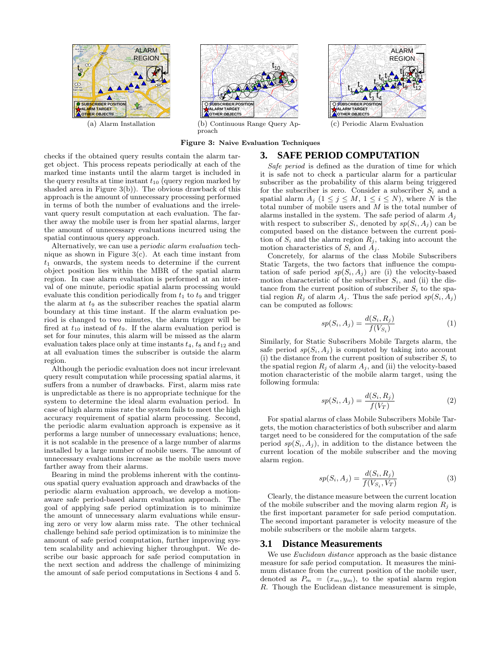

(a) Alarm Installation



(b) Continuous Range Query Approach



checks if the obtained query results contain the alarm target object. This process repeats periodically at each of the marked time instants until the alarm target is included in the query results at time instant  $t_{10}$  (query region marked by shaded area in Figure 3(b)). The obvious drawback of this approach is the amount of unnecessary processing performed in terms of both the number of evaluations and the irrelevant query result computation at each evaluation. The farther away the mobile user is from her spatial alarms, larger the amount of unnecessary evaluations incurred using the spatial continuous query approach.

Alternatively, we can use a periodic alarm evaluation technique as shown in Figure  $3(c)$ . At each time instant from  $t_1$  onwards, the system needs to determine if the current object position lies within the MBR of the spatial alarm region. In case alarm evaluation is performed at an interval of one minute, periodic spatial alarm processing would evaluate this condition periodically from  $t_1$  to  $t_9$  and trigger the alarm at  $t_9$  as the subscriber reaches the spatial alarm boundary at this time instant. If the alarm evaluation period is changed to two minutes, the alarm trigger will be fired at  $t_{10}$  instead of  $t_9$ . If the alarm evaluation period is set for four minutes, this alarm will be missed as the alarm evaluation takes place only at time instants  $t_4$ ,  $t_8$  and  $t_{12}$  and at all evaluation times the subscriber is outside the alarm region.

Although the periodic evaluation does not incur irrelevant query result computation while processing spatial alarms, it suffers from a number of drawbacks. First, alarm miss rate is unpredictable as there is no appropriate technique for the system to determine the ideal alarm evaluation period. In case of high alarm miss rate the system fails to meet the high accuracy requirement of spatial alarm processing. Second, the periodic alarm evaluation approach is expensive as it performs a large number of unnecessary evaluations; hence, it is not scalable in the presence of a large number of alarms installed by a large number of mobile users. The amount of unnecessary evaluations increase as the mobile users move farther away from their alarms.

Bearing in mind the problems inherent with the continuous spatial query evaluation approach and drawbacks of the periodic alarm evaluation approach, we develop a motionaware safe period-based alarm evaluation approach. The goal of applying safe period optimization is to minimize the amount of unnecessary alarm evaluations while ensuring zero or very low alarm miss rate. The other technical challenge behind safe period optimization is to minimize the amount of safe period computation, further improving system scalability and achieving higher throughput. We describe our basic approach for safe period computation in the next section and address the challenge of minimizing the amount of safe period computations in Sections 4 and 5.



(c) Periodic Alarm Evaluation

# **3. SAFE PERIOD COMPUTATION**

Safe period is defined as the duration of time for which it is safe not to check a particular alarm for a particular subscriber as the probability of this alarm being triggered for the subscriber is zero. Consider a subscriber  $S_i$  and a spatial alarm  $A_j$   $(1 \leq j \leq M, 1 \leq i \leq N)$ , where N is the total number of mobile users and  $M$  is the total number of alarms installed in the system. The safe period of alarm  $A_i$ with respect to subscriber  $S_i$ , denoted by  $sp(S_i, A_i)$  can be computed based on the distance between the current position of  $S_i$  and the alarm region  $R_j$ , taking into account the motion characteristics of  $S_i$  and  $A_j$ .

Concretely, for alarms of the class Mobile Subscribers Static Targets, the two factors that influence the computation of safe period  $sp(S_i, A_j)$  are (i) the velocity-based motion characteristic of the subscriber  $S_i$ , and (ii) the distance from the current position of subscriber  $S_i$  to the spatial region  $R_i$  of alarm  $A_i$ . Thus the safe period  $sp(S_i, A_i)$ can be computed as follows:

$$
sp(S_i, A_j) = \frac{d(S_i, R_j)}{f(V_{S_i})}
$$
\n<sup>(1)</sup>

Similarly, for Static Subscribers Mobile Targets alarm, the safe period  $sp(S_i, A_i)$  is computed by taking into account (i) the distance from the current position of subscriber  $S_i$  to the spatial region  $R_j$  of alarm  $A_j$ , and (ii) the velocity-based motion characteristic of the mobile alarm target, using the following formula:

$$
sp(S_i, A_j) = \frac{d(S_i, R_j)}{f(V_T)}\tag{2}
$$

For spatial alarms of class Mobile Subscribers Mobile Targets, the motion characteristics of both subscriber and alarm target need to be considered for the computation of the safe period  $sp(S_i, A_j)$ , in addition to the distance between the current location of the mobile subscriber and the moving alarm region.

$$
sp(S_i, A_j) = \frac{d(S_i, R_j)}{f(V_{S_i}, V_T)}
$$
\n(3)

Clearly, the distance measure between the current location of the mobile subscriber and the moving alarm region  $R_i$  is the first important parameter for safe period computation. The second important parameter is velocity measure of the mobile subscribers or the mobile alarm targets.

#### **3.1 Distance Measurements**

We use *Euclidean distance* approach as the basic distance measure for safe period computation. It measures the minimum distance from the current position of the mobile user, denoted as  $P_m = (x_m, y_m)$ , to the spatial alarm region R. Though the Euclidean distance measurement is simple,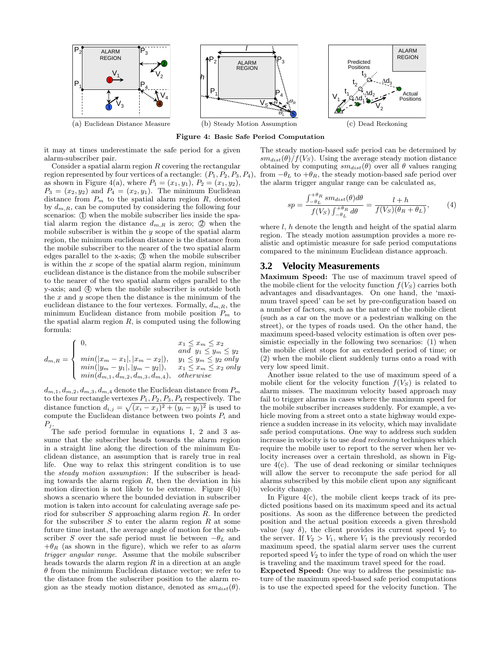





(c) Dead Reckoning

Figure 4: Basic Safe Period Computation

it may at times underestimate the safe period for a given alarm-subscriber pair.

Consider a spatial alarm region  $R$  covering the rectangular region represented by four vertices of a rectangle:  $(P_1, P_2, P_3, P_4)$ , as shown in Figure 4(a), where  $P_1 = (x_1, y_1), P_2 = (x_1, y_2),$  $P_3 = (x_2, y_2)$  and  $P_4 = (x_2, y_1)$ . The minimum Euclidean distance from  $P_m$  to the spatial alarm region  $R$ , denoted by  $d_{m,R}$ , can be computed by considering the following four scenarios: (I) when the mobile subscriber lies inside the spatial alarm region the distance  $d_{m,R}$  is zero;  $\oslash$  when the mobile subscriber is within the  $y$  scope of the spatial alarm region, the minimum euclidean distance is the distance from the mobile subscriber to the nearer of the two spatial alarm edges parallel to the x-axis; 3 when the mobile subscriber is within the  $x$  scope of the spatial alarm region, minimum euclidean distance is the distance from the mobile subscriber to the nearer of the two spatial alarm edges parallel to the y-axis; and  $(4)$  when the mobile subscriber is outside both the  $x$  and  $y$  scope then the distance is the minimum of the euclidean distance to the four vertexes. Formally,  $d_{m,R}$ , the minimum Euclidean distance from mobile position  $P_m$  to the spatial alarm region  $R$ , is computed using the following formula:

$$
d_{m,R} = \begin{cases} 0, & x_1 \leq x_m \leq x_2 \\ \min(|x_m - x_1|, |x_m - x_2|), & y_1 \leq y_m \leq y_2 \\ \min(|y_m - y_1|, |y_m - y_2|), & x_1 \leq x_m \leq x_2 \text{ only} \\ \min(d_{m,1}, d_{m,2}, d_{m,3}, d_{m,4}), & otherwise \end{cases}
$$

 $d_{m,1}, d_{m,2}, d_{m,3}, d_{m,4}$  denote the Euclidean distance from  $P_m$ to the four rectangle vertexes  $P_1$ ,  $P_2$ ,  $P_3$ ,  $P_4$  respectively. The distance function  $d_{i,j} = \sqrt{(x_i - x_j)^2 + (y_i - y_j)^2}$  is used to compute the Euclidean distance between two points  $P_i$  and  $P_j$ .

The safe period formulae in equations 1, 2 and 3 assume that the subscriber heads towards the alarm region in a straight line along the direction of the minimum Euclidean distance, an assumption that is rarely true in real life. One way to relax this stringent condition is to use the steady motion assumption: If the subscriber is heading towards the alarm region  $R$ , then the deviation in his motion direction is not likely to be extreme. Figure 4(b) shows a scenario where the bounded deviation in subscriber motion is taken into account for calculating average safe period for subscriber S approaching alarm region R. In order for the subscriber  $S$  to enter the alarm region  $R$  at some future time instant, the average angle of motion for the subscriber S over the safe period must lie between  $-\theta_L$  and  $+\theta_R$  (as shown in the figure), which we refer to as *alarm* trigger angular range. Assume that the mobile subscriber heads towards the alarm region  $R$  in a direction at an angle  $\theta$  from the minimum Euclidean distance vector; we refer to the distance from the subscriber position to the alarm region as the steady motion distance, denoted as  $sm_{dist}(\theta)$ .

The steady motion-based safe period can be determined by  $sm_{dist}(\theta)/f(V_S)$ . Using the average steady motion distance obtained by computing  $sm_{dist}(\theta)$  over all  $\theta$  values ranging from  $-\theta_L$  to  $+\theta_R$ , the steady motion-based safe period over the alarm trigger angular range can be calculated as,

$$
sp = \frac{\int_{-\theta_L}^{+\theta_R} sm_{dist}(\theta)d\theta}{f(V_S)\int_{-\theta_L}^{+\theta_R} d\theta} = \frac{l+h}{f(V_S)(\theta_R + \theta_L)},
$$
(4)

where  $l, h$  denote the length and height of the spatial alarm region. The steady motion assumption provides a more realistic and optimistic measure for safe period computations compared to the minimum Euclidean distance approach.

## **3.2 Velocity Measurements**

Maximum Speed: The use of maximum travel speed of the mobile client for the velocity function  $f(V_S)$  carries both advantages and disadvantages. On one hand, the 'maximum travel speed' can be set by pre-configuration based on a number of factors, such as the nature of the mobile client (such as a car on the move or a pedestrian walking on the street), or the types of roads used. On the other hand, the maximum speed-based velocity estimation is often over pessimistic especially in the following two scenarios: (1) when the mobile client stops for an extended period of time; or (2) when the mobile client suddenly turns onto a road with very low speed limit.

Another issue related to the use of maximum speed of a mobile client for the velocity function  $f(V_S)$  is related to alarm misses. The maximum velocity based approach may fail to trigger alarms in cases where the maximum speed for the mobile subscriber increases suddenly. For example, a vehicle moving from a street onto a state highway would experience a sudden increase in its velocity, which may invalidate safe period computations. One way to address such sudden increase in velocity is to use dead reckoning techniques which require the mobile user to report to the server when her velocity increases over a certain threshold, as shown in Figure 4(c). The use of dead reckoning or similar techniques will allow the server to recompute the safe period for all alarms subscribed by this mobile client upon any significant velocity change.

In Figure  $4(c)$ , the mobile client keeps track of its predicted positions based on its maximum speed and its actual positions. As soon as the difference between the predicted position and the actual position exceeds a given threshold value (say  $\delta$ ), the client provides its current speed  $V_2$  to the server. If  $V_2 > V_1$ , where  $V_1$  is the previously recorded maximum speed, the spatial alarm server uses the current reported speed  $V_2$  to infer the type of road on which the user is traveling and the maximum travel speed for the road.

Expected Speed: One way to address the pessimistic nature of the maximum speed-based safe period computations is to use the expected speed for the velocity function. The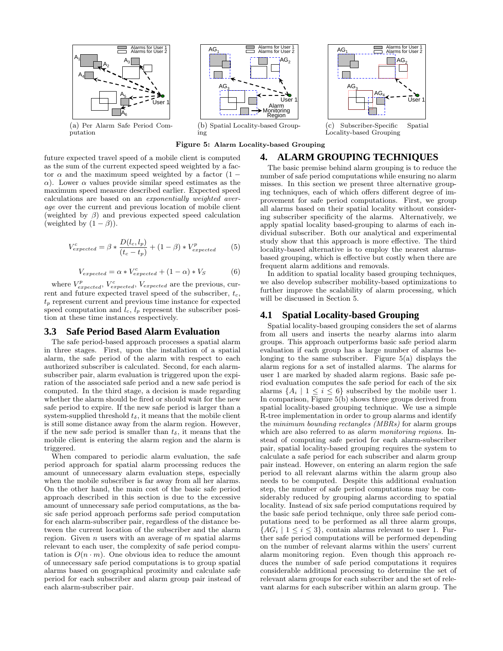

Figure 5: Alarm Locality-based Grouping

future expected travel speed of a mobile client is computed as the sum of the current expected speed weighted by a factor  $\alpha$  and the maximum speed weighted by a factor (1 − α). Lower α values provide similar speed estimates as the maximum speed measure described earlier. Expected speed calculations are based on an exponentially weighted average over the current and previous location of mobile client (weighted by  $\beta$ ) and previous expected speed calculation (weighted by  $(1 - \beta)$ ).

$$
V_{expected}^{c} = \beta * \frac{D(l_c, l_p)}{(t_c - t_p)} + (1 - \beta) * V_{expected}^{p}
$$
 (5)

$$
V_{expected} = \alpha * V_{expected}^{c} + (1 - \alpha) * V_{S}
$$
 (6)

where  $V_{expected}^{p}$ ,  $V_{expected}^{c}$ ,  $V_{expected}^{e}$ ,  $V_{expected}$  are the previous, current and future expected travel speed of the subscriber,  $t_c$ ,  $t_p$  represent current and previous time instance for expected speed computation and  $l_c$ ,  $l_p$  represent the subscriber position at these time instances respectively.

#### **3.3 Safe Period Based Alarm Evaluation**

The safe period-based approach processes a spatial alarm in three stages. First, upon the installation of a spatial alarm, the safe period of the alarm with respect to each authorized subscriber is calculated. Second, for each alarmsubscriber pair, alarm evaluation is triggered upon the expiration of the associated safe period and a new safe period is computed. In the third stage, a decision is made regarding whether the alarm should be fired or should wait for the new safe period to expire. If the new safe period is larger than a system-supplied threshold  $t_{\delta}$ , it means that the mobile client is still some distance away from the alarm region. However, if the new safe period is smaller than  $t_{\delta}$ , it means that the mobile client is entering the alarm region and the alarm is triggered.

When compared to periodic alarm evaluation, the safe period approach for spatial alarm processing reduces the amount of unnecessary alarm evaluation steps, especially when the mobile subscriber is far away from all her alarms. On the other hand, the main cost of the basic safe period approach described in this section is due to the excessive amount of unnecessary safe period computations, as the basic safe period approach performs safe period computation for each alarm-subscriber pair, regardless of the distance between the current location of the subscriber and the alarm region. Given  $n$  users with an average of  $m$  spatial alarms relevant to each user, the complexity of safe period computation is  $O(n \cdot m)$ . One obvious idea to reduce the amount of unnecessary safe period computations is to group spatial alarms based on geographical proximity and calculate safe period for each subscriber and alarm group pair instead of each alarm-subscriber pair.



(c) Subscriber-Specific Spatial Locality-based Grouping

# **4. ALARM GROUPING TECHNIQUES**

The basic premise behind alarm grouping is to reduce the number of safe period computations while ensuring no alarm misses. In this section we present three alternative grouping techniques, each of which offers different degree of improvement for safe period computations. First, we group all alarms based on their spatial locality without considering subscriber specificity of the alarms. Alternatively, we apply spatial locality based-grouping to alarms of each individual subscriber. Both our analytical and experimental study show that this approach is more effective. The third locality-based alternative is to employ the nearest alarmsbased grouping, which is effective but costly when there are frequent alarm additions and removals.

In addition to spatial locality based grouping techniques, we also develop subscriber mobility-based optimizations to further improve the scalability of alarm processing, which will be discussed in Section 5.

# **4.1 Spatial Locality-based Grouping**

Spatial locality-based grouping considers the set of alarms from all users and inserts the nearby alarms into alarm groups. This approach outperforms basic safe period alarm evaluation if each group has a large number of alarms belonging to the same subscriber. Figure 5(a) displays the alarm regions for a set of installed alarms. The alarms for user 1 are marked by shaded alarm regions. Basic safe period evaluation computes the safe period for each of the six alarms  $\{A_i \mid 1 \leq i \leq 6\}$  subscribed by the mobile user 1. In comparison, Figure 5(b) shows three groups derived from spatial locality-based grouping technique. We use a simple R-tree implementation in order to group alarms and identify the minimum bounding rectangles (MBRs) for alarm groups which are also referred to as *alarm monitoring regions*. Instead of computing safe period for each alarm-subscriber pair, spatial locality-based grouping requires the system to calculate a safe period for each subscriber and alarm group pair instead. However, on entering an alarm region the safe period to all relevant alarms within the alarm group also needs to be computed. Despite this additional evaluation step, the number of safe period computations may be considerably reduced by grouping alarms according to spatial locality. Instead of six safe period computations required by the basic safe period technique, only three safe period computations need to be performed as all three alarm groups,  ${AG_i \mid 1 \leq i \leq 3}$ , contain alarms relevant to user 1. Further safe period computations will be performed depending on the number of relevant alarms within the users' current alarm monitoring region. Even though this approach reduces the number of safe period computations it requires considerable additional processing to determine the set of relevant alarm groups for each subscriber and the set of relevant alarms for each subscriber within an alarm group. The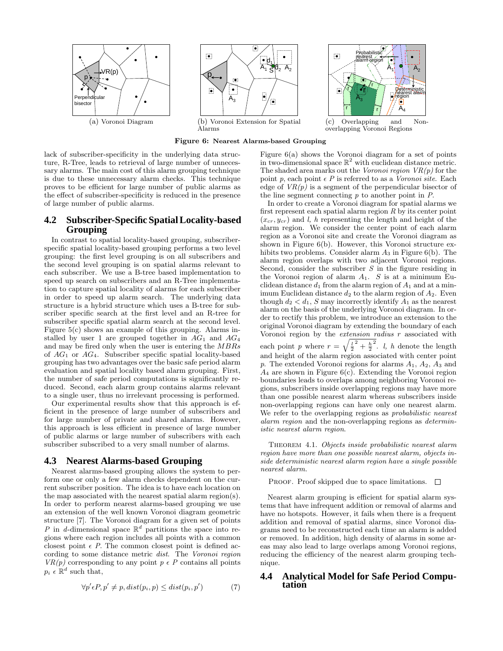

 $\mathsf{d}_2$  $A_1$   $S_1$   $A_2$ 

Alarms

Figure 6: Nearest Alarms-based Grouping

lack of subscriber-specificity in the underlying data structure, R-Tree, leads to retrieval of large number of unnecessary alarms. The main cost of this alarm grouping technique is due to these unnecessary alarm checks. This technique proves to be efficient for large number of public alarms as the effect of subscriber-specificity is reduced in the presence of large number of public alarms.

# **4.2 Subscriber-Specific Spatial Locality-based Grouping**

In contrast to spatial locality-based grouping, subscriberspecific spatial locality-based grouping performs a two level grouping: the first level grouping is on all subscribers and the second level grouping is on spatial alarms relevant to each subscriber. We use a B-tree based implementation to speed up search on subscribers and an R-Tree implementation to capture spatial locality of alarms for each subscriber in order to speed up alarm search. The underlying data structure is a hybrid structure which uses a B-tree for subscriber specific search at the first level and an R-tree for subscriber specific spatial alarm search at the second level. Figure 5(c) shows an example of this grouping. Alarms installed by user 1 are grouped together in  $AG_1$  and  $AG_4$ and may be fired only when the user is entering the MBRs of  $AG_1$  or  $AG_4$ . Subscriber specific spatial locality-based grouping has two advantages over the basic safe period alarm evaluation and spatial locality based alarm grouping. First, the number of safe period computations is significantly reduced. Second, each alarm group contains alarms relevant to a single user, thus no irrelevant processing is performed.

Our experimental results show that this approach is efficient in the presence of large number of subscribers and for large number of private and shared alarms. However, this approach is less efficient in presence of large number of public alarms or large number of subscribers with each subscriber subscribed to a very small number of alarms.

# **4.3 Nearest Alarms-based Grouping**

Nearest alarms-based grouping allows the system to perform one or only a few alarm checks dependent on the current subscriber position. The idea is to have each location on the map associated with the nearest spatial alarm region(s). In order to perform nearest alarms-based grouping we use an extension of the well known Voronoi diagram geometric structure [7]. The Voronoi diagram for a given set of points P in d-dimensional space  $\mathbb{R}^d$  partitions the space into regions where each region includes all points with a common closest point  $\epsilon$  P. The common closest point is defined according to some distance metric dist. The Voronoi region  $VR(p)$  corresponding to any point  $p \in P$  contains all points  $p_i \in \mathbb{R}^d$  such that,

$$
\forall p' \epsilon P, p' \neq p, dist(p_i, p) \leq dist(p_i, p') \tag{7}
$$

Figure 6(a) shows the Voronoi diagram for a set of points in two-dimensional space  $\mathbb{R}^2$  with euclidean distance metric. The shaded area marks out the Voronoi region  $VR(p)$  for the point p, each point  $\epsilon$  P is referred to as a Voronoi site. Each edge of  $VR(p)$  is a segment of the perpendicular bisector of the line segment connecting  $p$  to another point in  $P$ .

Probabilistic nearest alarm region

r

 $\overline{\mathsf{A}_3}$ 

r

r

(c) Overlapping and Nonoverlapping Voronoi Regions

r

r

 $\left[\begin{matrix}\bullet\\\bullet\end{matrix}\right]$ 

Deterministic nearest alarm region

 $A_1$   $A_2$ 

 $\mathsf{A}_4$ 

In order to create a Voronoi diagram for spatial alarms we first represent each spatial alarm region  $R$  by its center point  $(x_{cr}, y_{cr})$  and l, h representing the length and height of the alarm region. We consider the center point of each alarm region as a Voronoi site and create the Voronoi diagram as shown in Figure 6(b). However, this Voronoi structure exhibits two problems. Consider alarm  $A_3$  in Figure 6(b). The alarm region overlaps with two adjacent Voronoi regions. Second, consider the subscriber  $S$  in the figure residing in the Voronoi region of alarm  $A_1$ . S is at a minimum Euclidean distance  $d_1$  from the alarm region of  $A_1$  and at a minimum Euclidean distance  $d_2$  to the alarm region of  $A_2$ . Even though  $d_2 < d_1$ , S may incorrectly identify  $A_1$  as the nearest alarm on the basis of the underlying Voronoi diagram. In order to rectify this problem, we introduce an extension to the original Voronoi diagram by extending the boundary of each Voronoi region by the *extension radius*  $r$  associated with each point p where  $r = \sqrt{\frac{l}{2}^2 + \frac{h}{2}}$ <sup>2</sup>. *l*, *h* denote the length and height of the alarm region associated with center point p. The extended Voronoi regions for alarms  $A_1$ ,  $A_2$ ,  $A_3$  and  $A_4$  are shown in Figure 6(c). Extending the Voronoi region boundaries leads to overlaps among neighboring Voronoi regions, subscribers inside overlapping regions may have more than one possible nearest alarm whereas subscribers inside non-overlapping regions can have only one nearest alarm. We refer to the overlapping regions as *probabilistic nearest* alarm region and the non-overlapping regions as deterministic nearest alarm region.

THEOREM 4.1. Objects inside probabilistic nearest alarm region have more than one possible nearest alarm, objects inside deterministic nearest alarm region have a single possible nearest alarm.

PROOF. Proof skipped due to space limitations.  $\Box$ 

Nearest alarm grouping is efficient for spatial alarm systems that have infrequent addition or removal of alarms and have no hotspots. However, it fails when there is a frequent addition and removal of spatial alarms, since Voronoi diagrams need to be reconstructed each time an alarm is added or removed. In addition, high density of alarms in some areas may also lead to large overlaps among Voronoi regions, reducing the efficiency of the nearest alarm grouping technique.

#### **4.4 Analytical Model for Safe Period Computation**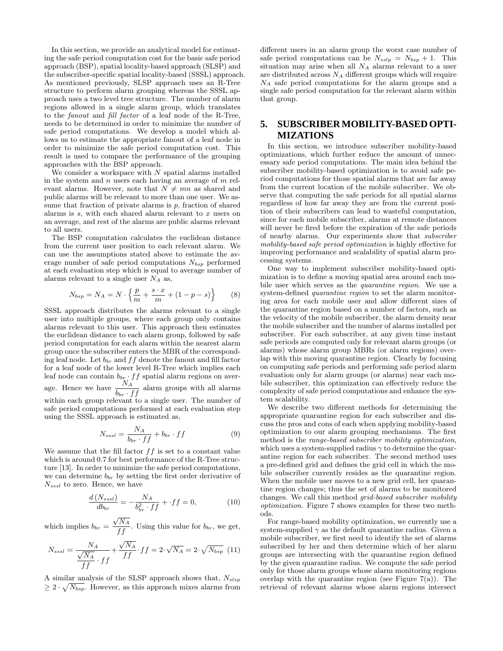In this section, we provide an analytical model for estimating the safe period computation cost for the basic safe period approach (BSP), spatial locality-based approach (SLSP) and the subscriber-specific spatial locality-based (SSSL) approach. As mentioned previously, SLSP approach uses an R-Tree structure to perform alarm grouping whereas the SSSL approach uses a two level tree structure. The number of alarm regions allowed in a single alarm group, which translates to the fanout and fill factor of a leaf node of the R-Tree, needs to be determined in order to minimize the number of safe period computations. We develop a model which allows us to estimate the appropriate fanout of a leaf node in order to minimize the safe period computation cost. This result is used to compare the performance of the grouping approaches with the BSP approach.

We consider a workspace with  $N$  spatial alarms installed in the system and  $n$  users each having an average of  $m$  relevant alarms. However, note that  $N \neq mn$  as shared and public alarms will be relevant to more than one user. We assume that fraction of private alarms is  $p$ , fraction of shared alarms is  $s$ , with each shared alarm relevant to  $x$  users on an average, and rest of the alarms are public alarms relevant to all users.

The BSP computation calculates the euclidean distance from the current user position to each relevant alarm. We can use the assumptions stated above to estimate the average number of safe period computations  $N_{bsp}$  performed at each evaluation step which is equal to average number of alarms relevant to a single user  $N_A$  as,

$$
N_{bsp} = N_A = N \cdot \left\{ \frac{p}{m} + \frac{s \cdot x}{m} + (1 - p - s) \right\}
$$
 (8)

SSSL approach distributes the alarms relevant to a single user into multiple groups, where each group only contains alarms relevant to this user. This approach then estimates the euclidean distance to each alarm group, followed by safe period computation for each alarm within the nearest alarm group once the subscriber enters the MBR of the corresponding leaf node. Let  $b_{br}$  and  $ff$  denote the fanout and fill factor for a leaf node of the lower level R-Tree which implies each leaf node can contain  $b_{b_{\overline{M}}}$  of f spatial alarm regions on average. Hence we have  $\frac{N_A}{b_{br} \cdot ff}$  alarm groups with all alarms within each group relevant to a single user. The number of safe period computations performed at each evaluation step using the SSSL approach is estimated as,

$$
N_{sssl} = \frac{N_A}{b_{br} \cdot ff} + b_{br} \cdot ff \tag{9}
$$

We assume that the fill factor  $ff$  is set to a constant value which is around 0.7 for best performance of the R-Tree structure [13]. In order to minimize the safe period computations, we can determine  $b_{br}$  by setting the first order derivative of  $N_{sssl}$  to zero. Hence, we have

$$
\frac{d\left(N_{sssl}\right)}{db_{br}} = -\frac{N_A}{b_{br}^2 \cdot ff} + \cdot ff = 0,\tag{10}
$$

which implies  $b_{br} =$  $\frac{\sqrt{N_A}}{ff}$ . Using this value for  $b_{br}$ , we get,

$$
N_{sssl} = \frac{N_A}{\frac{\sqrt{N_A}}{ff} \cdot ff} + \frac{\sqrt{N_A}}{ff} \cdot ff = 2 \cdot \sqrt{N_A} = 2 \cdot \sqrt{N_{bsp}} \tag{11}
$$

A similar analysis of the SLSP approach shows that,  $N_{slsp}$  $\geq 2 \cdot \sqrt{N_{bsp}}$ . However, as this approach mixes alarms from

different users in an alarm group the worst case number of safe period computations can be  $N_{sslp} = N_{bsp} + 1$ . This situation may arise when all  $N_A$  alarms relevant to a user are distributed across  $N_A$  different groups which will require  $N_A$  safe period computations for the alarm groups and a single safe period computation for the relevant alarm within that group.

# **5. SUBSCRIBER MOBILITY-BASED OPTI-MIZATIONS**

In this section, we introduce subscriber mobility-based optimizations, which further reduce the amount of unnecessary safe period computations. The main idea behind the subscriber mobility-based optimization is to avoid safe period computations for those spatial alarms that are far away from the current location of the mobile subscriber. We observe that computing the safe periods for all spatial alarms regardless of how far away they are from the current position of their subscribers can lead to wasteful computation, since for each mobile subscriber, alarms at remote distances will never be fired before the expiration of the safe periods of nearby alarms. Our experiments show that subscriber mobility-based safe period optimization is highly effective for improving performance and scalability of spatial alarm processing systems.

One way to implement subscriber mobility-based optimization is to define a moving spatial area around each mobile user which serves as the quarantine region. We use a system-defined quarantine region to set the alarm monitoring area for each mobile user and allow different sizes of the quarantine region based on a number of factors, such as the velocity of the mobile subscriber, the alarm density near the mobile subscriber and the number of alarms installed per subscriber. For each subscriber, at any given time instant safe periods are computed only for relevant alarm groups (or alarms) whose alarm group MBRs (or alarm regions) overlap with this moving quarantine region. Clearly by focusing on computing safe periods and performing safe period alarm evaluation only for alarm groups (or alarms) near each mobile subscriber, this optimization can effectively reduce the complexity of safe period computations and enhance the system scalability.

We describe two different methods for determining the appropriate quarantine region for each subscriber and discuss the pros and cons of each when applying mobility-based optimization to our alarm grouping mechanisms. The first method is the range-based subscriber mobility optimization, which uses a system-supplied radius  $\gamma$  to determine the quarantine region for each subscriber. The second method uses a pre-defined grid and defines the grid cell in which the mobile subscriber currently resides as the quarantine region. When the mobile user moves to a new grid cell, her quarantine region changes; thus the set of alarms to be monitored changes. We call this method grid-based subscriber mobility optimization. Figure 7 shows examples for these two methods.

For range-based mobility optimization, we currently use a system-supplied  $\gamma$  as the default quarantine radius. Given a mobile subscriber, we first need to identify the set of alarms subscribed by her and then determine which of her alarm groups are intersecting with the quarantine region defined by the given quarantine radius. We compute the safe period only for those alarm groups whose alarm monitoring regions overlap with the quarantine region (see Figure  $7(a)$ ). The retrieval of relevant alarms whose alarm regions intersect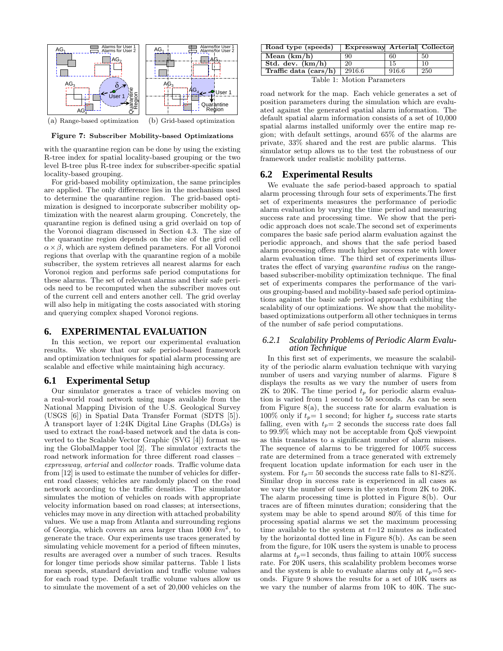

(a) Range-based optimization (b) Grid-based optimization

Figure 7: Subscriber Mobility-based Optimizations

with the quarantine region can be done by using the existing R-tree index for spatial locality-based grouping or the two level B-tree plus R-tree index for subscriber-specific spatial locality-based grouping.

For grid-based mobility optimization, the same principles are applied. The only difference lies in the mechanism used to determine the quarantine region. The grid-based optimization is designed to incorporate subscriber mobility optimization with the nearest alarm grouping. Concretely, the quarantine region is defined using a grid overlaid on top of the Voronoi diagram discussed in Section 4.3. The size of the quarantine region depends on the size of the grid cell  $\alpha \times \beta$ , which are system defined parameters. For all Voronoi regions that overlap with the quarantine region of a mobile subscriber, the system retrieves all nearest alarms for each Voronoi region and performs safe period computations for these alarms. The set of relevant alarms and their safe periods need to be recomputed when the subscriber moves out of the current cell and enters another cell. The grid overlay will also help in mitigating the costs associated with storing and querying complex shaped Voronoi regions.

#### **6. EXPERIMENTAL EVALUATION**

In this section, we report our experimental evaluation results. We show that our safe period-based framework and optimization techniques for spatial alarm processing are scalable and effective while maintaining high accuracy.

#### **6.1 Experimental Setup**

Our simulator generates a trace of vehicles moving on a real-world road network using maps available from the National Mapping Division of the U.S. Geological Survey (USGS [6]) in Spatial Data Transfer Format (SDTS [5]). A transport layer of 1:24K Digital Line Graphs (DLGs) is used to extract the road-based network and the data is converted to the Scalable Vector Graphic (SVG [4]) format using the GlobalMapper tool [2]. The simulator extracts the road network information for three different road classes – expressway, arterial and collector roads. Traffic volume data from [12] is used to estimate the number of vehicles for different road classes; vehicles are randomly placed on the road network according to the traffic densities. The simulator simulates the motion of vehicles on roads with appropriate velocity information based on road classes; at intersections, vehicles may move in any direction with attached probability values. We use a map from Atlanta and surrounding regions of Georgia, which covers an area larger than  $1000\ \text{\textit{km}}^2$ , to generate the trace. Our experiments use traces generated by simulating vehicle movement for a period of fifteen minutes, results are averaged over a number of such traces. Results for longer time periods show similar patterns. Table 1 lists mean speeds, standard deviation and traffic volume values for each road type. Default traffic volume values allow us to simulate the movement of a set of 20,000 vehicles on the

| Road type (speeds)         | Expressway Arterial Collector |       |     |
|----------------------------|-------------------------------|-------|-----|
| Mean $(km/h)$              | 90                            | 60    | 50  |
| Std. dev. $(km/h)$         | 20                            | 15    | -10 |
| Traffic data $(cars/h)$    | $\frac{2916.6}{ }$            | 916.6 | 250 |
| Table 1. Motion Domamators |                               |       |     |

Table 1: Motion Parameters

road network for the map. Each vehicle generates a set of position parameters during the simulation which are evaluated against the generated spatial alarm information. The default spatial alarm information consists of a set of 10,000 spatial alarms installed uniformly over the entire map region; with default settings, around 65% of the alarms are private, 33% shared and the rest are public alarms. This simulator setup allows us to the test the robustness of our framework under realistic mobility patterns.

## **6.2 Experimental Results**

We evaluate the safe period-based approach to spatial alarm processing through four sets of experiments.The first set of experiments measures the performance of periodic alarm evaluation by varying the time period and measuring success rate and processing time. We show that the periodic approach does not scale.The second set of experiments compares the basic safe period alarm evaluation against the periodic approach, and shows that the safe period based alarm processing offers much higher success rate with lower alarm evaluation time. The third set of experiments illustrates the effect of varying quarantine radius on the rangebased subscriber-mobility optimization technique. The final set of experiments compares the performance of the various grouping-based and mobility-based safe period optimizations against the basic safe period approach exhibiting the scalability of our optimizations. We show that the mobilitybased optimizations outperform all other techniques in terms of the number of safe period computations.

## *6.2.1 Scalability Problems of Periodic Alarm Evaluation Technique*

In this first set of experiments, we measure the scalability of the periodic alarm evaluation technique with varying number of users and varying number of alarms. Figure 8 displays the results as we vary the number of users from 2K to 20K. The time period  $t_p$  for periodic alarm evaluation is varied from 1 second to 50 seconds. As can be seen from Figure  $8(a)$ , the success rate for alarm evaluation is 100% only if  $t_p=1$  second; for higher  $t_p$  success rate starts falling, even with  $t_p=2$  seconds the success rate does fall to 99.9% which may not be acceptable from QoS viewpoint as this translates to a significant number of alarm misses. The sequence of alarms to be triggered for 100% success rate are determined from a trace generated with extremely frequent location update information for each user in the system. For  $t_p = 50$  seconds the success rate falls to 81-82%. Similar drop in success rate is experienced in all cases as we vary the number of users in the system from 2K to 20K. The alarm processing time is plotted in Figure 8(b). Our traces are of fifteen minutes duration; considering that the system may be able to spend around 80% of this time for processing spatial alarms we set the maximum processing time available to the system at  $t=12$  minutes as indicated by the horizontal dotted line in Figure 8(b). As can be seen from the figure, for 10K users the system is unable to process alarms at  $t_p=1$  seconds, thus failing to attain 100% success rate. For 20K users, this scalability problem becomes worse and the system is able to evaluate alarms only at  $t_p=5$  seconds. Figure 9 shows the results for a set of 10K users as we vary the number of alarms from 10K to 40K. The suc-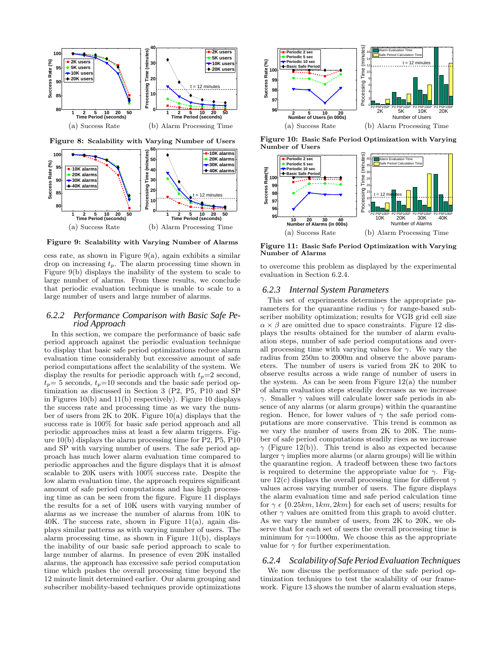

**60 Processing Time (minutes) 10K alarms 100 20K alarms 50** Success Rate (%) **Success Rate (%) 30K alarms 95 10K alarms 40 40K alarms** Time **20K alarms 30 90 30K alarms 40K alarms** poessing **20 85** t = 12 minutes **10 80 <sup>1</sup> <sup>2</sup> <sup>5</sup> <sup>10</sup> <sup>20</sup> <sup>50</sup> <sup>0</sup> Time Period (seconds) 1 2 5 10 20 50 Time Period (seconds)** (a) Success Rate (b) Alarm Processing Time

Figure 8: Scalability with Varying Number of Users

Figure 9: Scalability with Varying Number of Alarms

cess rate, as shown in Figure 9(a), again exhibits a similar drop on increasing  $t_p$ . The alarm processing time shown in Figure 9(b) displays the inability of the system to scale to large number of alarms. From these results, we conclude that periodic evaluation technique is unable to scale to a large number of users and large number of alarms.

#### *6.2.2 Performance Comparison with Basic Safe Period Approach*

In this section, we compare the performance of basic safe period approach against the periodic evaluation technique to display that basic safe period optimizations reduce alarm evaluation time considerably but excessive amount of safe period computations affect the scalability of the system. We display the results for periodic approach with  $t_p=2$  second,  $t_p= 5$  seconds,  $t_p=10$  seconds and the basic safe period optimization as discussed in Section 3 (P2, P5, P10 and SP in Figures 10(b) and 11(b) respectively). Figure 10 displays the success rate and processing time as we vary the number of users from 2K to 20K. Figure 10(a) displays that the success rate is 100% for basic safe period approach and all periodic approaches miss at least a few alarm triggers. Figure 10(b) displays the alarm processing time for P2, P5, P10 and SP with varying number of users. The safe period approach has much lower alarm evaluation time compared to periodic approaches and the figure displays that it is almost scalable to 20K users with 100% success rate. Despite the low alarm evaluation time, the approach requires significant amount of safe period computations and has high processing time as can be seen from the figure. Figure 11 displays the results for a set of 10K users with varying number of alarms as we increase the number of alarms from 10K to  $40K$ . The success rate, shown in Figure 11(a), again displays similar patterns as with varying number of users. The alarm processing time, as shown in Figure 11(b), displays the inability of our basic safe period approach to scale to large number of alarms. In presence of even 20K installed alarms, the approach has excessive safe period computation time which pushes the overall processing time beyond the 12 minute limit determined earlier. Our alarm grouping and subscriber mobility-based techniques provide optimizations



Figure 10: Basic Safe Period Optimization with Varying Number of Users



Figure 11: Basic Safe Period Optimization with Varying Number of Alarms

to overcome this problem as displayed by the experimental evaluation in Section 6.2.4.

#### *6.2.3 Internal System Parameters*

This set of experiments determines the appropriate parameters for the quarantine radius  $\gamma$  for range-based subscriber mobility optimization; results for VGB grid cell size  $\alpha \times \beta$  are omitted due to space constraints. Figure 12 displays the results obtained for the number of alarm evaluation steps, number of safe period computations and overall processing time with varying values for  $\gamma$ . We vary the radius from 250m to 2000m and observe the above parameters. The number of users is varied from 2K to 20K to observe results across a wide range of number of users in the system. As can be seen from Figure  $12(a)$  the number of alarm evaluation steps steadily decreases as we increase γ. Smaller γ values will calculate lower safe periods in absence of any alarms (or alarm groups) within the quarantine region. Hence, for lower values of  $\gamma$  the safe period computations are more conservative. This trend is common as we vary the number of users from 2K to 20K. The number of safe period computations steadily rises as we increase  $\gamma$  (Figure 12(b)). This trend is also as expected because larger  $\gamma$  implies more alarms (or alarm groups) will lie within the quarantine region. A tradeoff between these two factors is required to determine the appropriate value for  $\gamma$ . Figure 12(c) displays the overall processing time for different  $\gamma$ values across varying number of users. The figure displays the alarm evaluation time and safe period calculation time for  $\gamma \in \{0.25km, 1km, 2km\}$  for each set of users; results for other  $\gamma$  values are omitted from this graph to avoid clutter. As we vary the number of users, from 2K to 20K, we observe that for each set of users the overall processing time is minimum for  $\gamma = 1000$ m. We choose this as the appropriate value for  $\gamma$  for further experimentation.

# *6.2.4 Scalability of Safe Period Evaluation Techniques*

We now discuss the performance of the safe period optimization techniques to test the scalability of our framework. Figure 13 shows the number of alarm evaluation steps,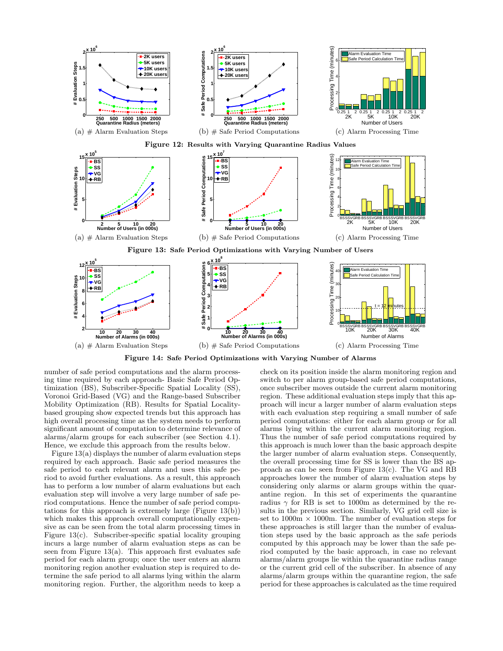

Figure 14: Safe Period Optimizations with Varying Number of Alarms

number of safe period computations and the alarm processing time required by each approach- Basic Safe Period Optimization (BS), Subscriber-Specific Spatial Locality (SS), Voronoi Grid-Based (VG) and the Range-based Subscriber Mobility Optimization (RB). Results for Spatial Localitybased grouping show expected trends but this approach has high overall processing time as the system needs to perform significant amount of computation to determine relevance of alarms/alarm groups for each subscriber (see Section 4.1). Hence, we exclude this approach from the results below.

Figure 13(a) displays the number of alarm evaluation steps required by each approach. Basic safe period measures the safe period to each relevant alarm and uses this safe period to avoid further evaluations. As a result, this approach has to perform a low number of alarm evaluations but each evaluation step will involve a very large number of safe period computations. Hence the number of safe period computations for this approach is extremely large  $(Figure 13(b))$ which makes this approach overall computationally expensive as can be seen from the total alarm processing times in Figure 13(c). Subscriber-specific spatial locality grouping incurs a large number of alarm evaluation steps as can be seen from Figure  $13(a)$ . This approach first evaluates safe period for each alarm group; once the user enters an alarm monitoring region another evaluation step is required to determine the safe period to all alarms lying within the alarm monitoring region. Further, the algorithm needs to keep a check on its position inside the alarm monitoring region and switch to per alarm group-based safe period computations, once subscriber moves outside the current alarm monitoring region. These additional evaluation steps imply that this approach will incur a larger number of alarm evaluation steps with each evaluation step requiring a small number of safe period computations: either for each alarm group or for all alarms lying within the current alarm monitoring region. Thus the number of safe period computations required by this approach is much lower than the basic approach despite the larger number of alarm evaluation steps. Consequently, the overall processing time for SS is lower than the BS approach as can be seen from Figure 13(c). The VG and RB approaches lower the number of alarm evaluation steps by considering only alarms or alarm groups within the quarantine region. In this set of experiments the quarantine radius  $\gamma$  for RB is set to 1000m as determined by the results in the previous section. Similarly, VG grid cell size is set to  $1000m \times 1000m$ . The number of evaluation steps for these approaches is still larger than the number of evaluation steps used by the basic approach as the safe periods computed by this approach may be lower than the safe period computed by the basic approach, in case no relevant alarms/alarm groups lie within the quarantine radius range or the current grid cell of the subscriber. In absence of any alarms/alarm groups within the quarantine region, the safe period for these approaches is calculated as the time required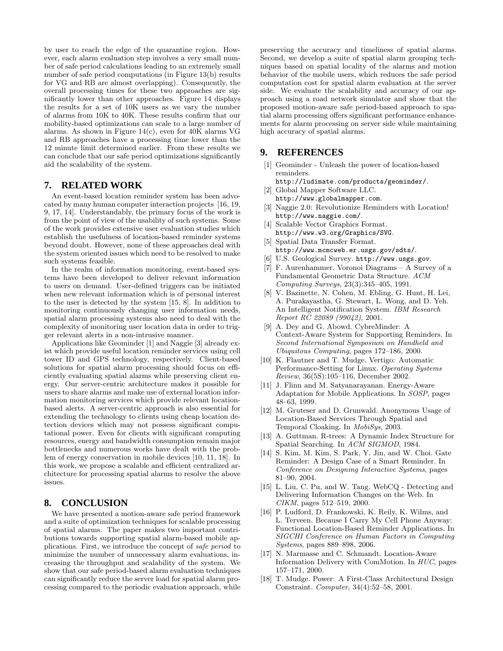by user to reach the edge of the quarantine region. However, each alarm evaluation step involves a very small number of safe period calculations leading to an extremely small number of safe period computations (in Figure 13(b) results for VG and RB are almost overlapping). Consequently, the overall processing times for these two approaches are significantly lower than other approaches. Figure 14 displays the results for a set of 10K users as we vary the number of alarms from 10K to 40K. These results confirm that our mobility-based optimizations can scale to a large number of alarms. As shown in Figure  $14(c)$ , even for  $40K$  alarms VG and RB approaches have a processing time lower than the 12 minute limit determined earlier. From these results we can conclude that our safe period optimizations significantly aid the scalability of the system.

# **7. RELATED WORK**

An event-based location reminder system has been advocated by many human computer interaction projects [16, 19, 9, 17, 14]. Understandably, the primary focus of the work is from the point of view of the usability of such systems. Some of the work provides extensive user evaluation studies which establish the usefulness of location-based reminder systems beyond doubt. However, none of these approaches deal with the system oriented issues which need to be resolved to make such systems feasible.

In the realm of information monitoring, event-based systems have been developed to deliver relevant information to users on demand. User-defined triggers can be initiated when new relevant information which is of personal interest to the user is detected by the system [15, 8]. In addition to monitoring continuously changing user information needs, spatial alarm processing systems also need to deal with the complexity of monitoring user location data in order to trigger relevant alerts in a non-intrusive manner.

Applications like Geominder [1] and Naggie [3] already exist which provide useful location reminder services using cell tower ID and GPS technology, respectively. Client-based solutions for spatial alarm processing should focus on efficiently evaluating spatial alarms while preserving client energy. Our server-centric architecture makes it possible for users to share alarms and make use of external location information monitoring services which provide relevant locationbased alerts. A server-centric approach is also essential for extending the technology to clients using cheap location detection devices which may not possess significant computational power. Even for clients with significant computing resources, energy and bandwidth consumption remain major bottlenecks and numerous works have dealt with the problem of energy conservation in mobile devices [10, 11, 18]. In this work, we propose a scalable and efficient centralized architecture for processing spatial alarms to resolve the above issues.

# **8. CONCLUSION**

We have presented a motion-aware safe period framework and a suite of optimization techniques for scalable processing of spatial alarms. The paper makes two important contributions towards supporting spatial alarm-based mobile applications. First, we introduce the concept of safe period to minimize the number of unnecessary alarm evaluations, increasing the throughput and scalability of the system. We show that our safe period-based alarm evaluation techniques can significantly reduce the server load for spatial alarm processing compared to the periodic evaluation approach, while preserving the accuracy and timeliness of spatial alarms. Second, we develop a suite of spatial alarm grouping techniques based on spatial locality of the alarms and motion behavior of the mobile users, which reduces the safe period computation cost for spatial alarm evaluation at the server side. We evaluate the scalability and accuracy of our approach using a road network simulator and show that the proposed motion-aware safe period-based approach to spatial alarm processing offers significant performance enhancements for alarm processing on server side while maintaining high accuracy of spatial alarms.

# **9. REFERENCES**

[1] Geominder - Unleash the power of location-based reminders.

http://ludimate.com/products/geominder/. [2] Global Mapper Software LLC.

- http://www.globalmapper.com.
- [3] Naggie 2.0: Revolutionize Reminders with Location! http://www.naggie.com/.
- [4] Scalable Vector Graphics Format. http://www.w3.org/Graphics/SVG.
- [5] Spatial Data Transfer Format. http://www.mcmcweb.er.usgs.gov/sdts/.
- [6] U.S. Geological Survey. http://www.usgs.gov.
- [7] F. Aurenhammer. Voronoi Diagrams A Survey of a Fundamental Geometric Data Structure. ACM Computing Surveys, 23(3):345–405, 1991.
- [8] V. Bazinette, N. Cohen, M. Ebling, G. Hunt, H. Lei, A. Purakayastha, G. Stewart, L. Wong, and D. Yeh. An Intelligent Notification System. IBM Research Report RC 22089 (99042), 2001.
- [9] A. Dey and G. Abowd. CybreMinder: A Context-Aware System for Supporting Reminders. In Second International Symposium on Handheld and Ubiquitous Computing, pages 172–186, 2000.
- [10] K. Flautner and T. Mudge. Vertigo: Automatic Performance-Setting for Linux. Operating Systems Review, 36(5S):105–116, December 2002.
- [11] J. Flinn and M. Satyanarayanan. Energy-Aware Adaptation for Mobile Applications. In SOSP, pages 48–63, 1999.
- [12] M. Gruteser and D. Grunwald. Anonymous Usage of Location-Based Services Through Spatial and Temporal Cloaking. In MobiSys, 2003.
- [13] A. Guttman. R-trees: A Dynamic Index Structure for Spatial Searching. In ACM SIGMOD, 1984.
- [14] S. Kim, M. Kim, S. Park, Y. Jin, and W. Choi. Gate Reminder: A Design Case of a Smart Reminder. In Conference on Designing Interactive Systems, pages 81–90, 2004.
- [15] L. Liu, C. Pu, and W. Tang. WebCQ Detecting and Delivering Information Changes on the Web. In CIKM, pages 512–519, 2000.
- [16] P. Ludford, D. Frankowski, K. Reily, K. Wilms, and L. Terveen. Because I Carry My Cell Phone Anyway: Functional Location-Based Reminder Applications. In SIGCHI Conference on Human Factors in Computing Systems, pages 889–898, 2006.
- [17] N. Marmasse and C. Schmandt. Location-Aware Information Delivery with ComMotion. In HUC, pages 157–171, 2000.
- [18] T. Mudge. Power: A First-Class Architectural Design Constraint. Computer, 34(4):52–58, 2001.